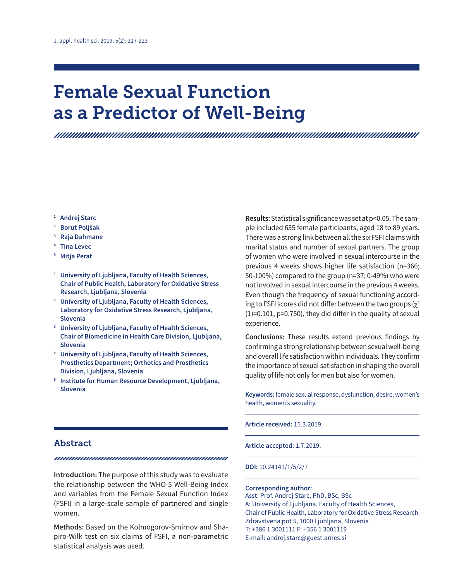# Female Sexual Function as a Predictor of Well-Being

- **<sup>1</sup> Andrej Starc**
- **<sup>2</sup> Borut Poljšak**
- **<sup>3</sup> Raja Dahmane**
- **<sup>4</sup> Tina Levec**
- **<sup>5</sup> Mitja Perat**
- **<sup>1</sup> University of Ljubljana, Faculty of Health Sciences, Chair of Public Health, Laboratory for Oxidative Stress Research, Ljubljana, Slovenia**
- **<sup>2</sup> University of Ljubljana, Faculty of Health Sciences, Laboratory for Oxidative Stress Research, Ljubljana, Slovenia**
- **<sup>3</sup> University of Ljubljana, Faculty of Health Sciences, Chair of Biomedicine in Health Care Division, Ljubljana, Slovenia**
- **<sup>4</sup> University of Ljubljana, Faculty of Health Sciences, Prosthetics Department; Orthotics and Prosthetics Division, Ljubljana, Slovenia**
- **<sup>5</sup> Institute for Human Resource Development, Ljubljana, Slovenia**

## Abstract

**Introduction:** The purpose of this study was to evaluate the relationship between the WHO-5 Well-Being Index and variables from the Female Sexual Function Index (FSFI) in a large-scale sample of partnered and single women.

**Methods:** Based on the Kolmogorov-Smirnov and Shapiro-Wilk test on six claims of FSFI, a non-parametric statistical analysis was used.

**Results:** Statistical significance was set at p<0.05. The sample included 635 female participants, aged 18 to 89 years. There was a strong link between all the six FSFI claims with marital status and number of sexual partners. The group of women who were involved in sexual intercourse in the previous 4 weeks shows higher life satisfaction (n=366; 50-100%) compared to the group (n=37; 0-49%) who were not involved in sexual intercourse in the previous 4 weeks. Even though the frequency of sexual functioning according to FSFI scores did not differ between the two groups  $(\chi^2)$ (1)=0.101, p=0.750), they did differ in the quality of sexual experience.

**Conclusions:** These results extend previous findings by confirming a strong relationship between sexual well-being and overall life satisfaction within individuals. They confirm the importance of sexual satisfaction in shaping the overall quality of life not only for men but also for women.

**Keywords:** female sexual response, dysfunction, desire, women's health, women's sexuality.

**Article received:** 15.3.2019.

**Article accepted:** 1.7.2019.

#### **DOI:** 10.24141/1/5/2/7

#### **Corresponding author:**

Asst. Prof. Andrej Starc, PhD, BSc, BSc A: University of Ljubljana, Faculty of Health Sciences, Chair of Public Health, Laboratory for Oxidative Stress Research Zdravstvena pot 5, 1000 Ljubljana, Slovenia T: +386 1 3001111 F: +356 1 3001119 E-mail: andrej.starc@guest.arnes.si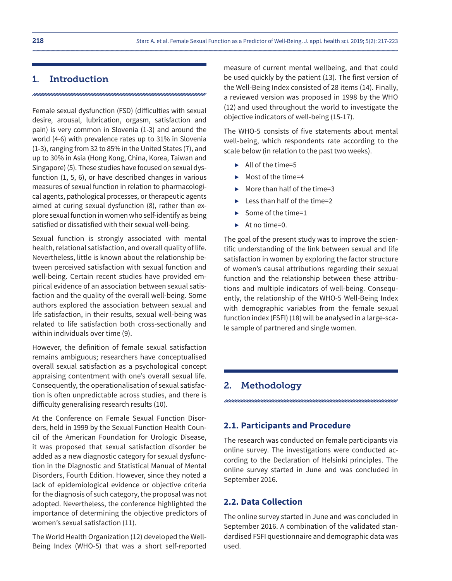## 1. Introduction

Female sexual dysfunction (FSD) (difficulties with sexual desire, arousal, lubrication, orgasm, satisfaction and pain) is very common in Slovenia (1-3) and around the world (4-6) with prevalence rates up to 31% in Slovenia (1-3), ranging from 32 to 85% in the United States (7), and up to 30% in Asia (Hong Kong, China, Korea, Taiwan and Singapore) (5). These studies have focused on sexual dysfunction (1, 5, 6), or have described changes in various measures of sexual function in relation to pharmacological agents, pathological processes, or therapeutic agents aimed at curing sexual dysfunction (8), rather than explore sexual function in women who self-identify as being satisfied or dissatisfied with their sexual well-being.

Sexual function is strongly associated with mental health, relational satisfaction, and overall quality of life. Nevertheless, little is known about the relationship between perceived satisfaction with sexual function and well-being. Certain recent studies have provided empirical evidence of an association between sexual satisfaction and the quality of the overall well-being. Some authors explored the association between sexual and life satisfaction, in their results, sexual well-being was related to life satisfaction both cross-sectionally and within individuals over time (9).

However, the definition of female sexual satisfaction remains ambiguous; researchers have conceptualised overall sexual satisfaction as a psychological concept appraising contentment with one's overall sexual life. Consequently, the operationalisation of sexual satisfaction is often unpredictable across studies, and there is difficulty generalising research results (10).

At the Conference on Female Sexual Function Disorders, held in 1999 by the Sexual Function Health Council of the American Foundation for Urologic Disease, it was proposed that sexual satisfaction disorder be added as a new diagnostic category for sexual dysfunction in the Diagnostic and Statistical Manual of Mental Disorders, Fourth Edition. However, since they noted a lack of epidemiological evidence or objective criteria for the diagnosis of such category, the proposal was not adopted. Nevertheless, the conference highlighted the importance of determining the objective predictors of women's sexual satisfaction (11).

The World Health Organization (12) developed the Well-Being Index (WHO-5) that was a short self-reported

measure of current mental wellbeing, and that could be used quickly by the patient (13). The first version of the Well-Being Index consisted of 28 items (14). Finally, a reviewed version was proposed in 1998 by the WHO (12) and used throughout the world to investigate the objective indicators of well-being (15-17).

The WHO-5 consists of five statements about mental well-being, which respondents rate according to the scale below (in relation to the past two weeks).

- $\blacktriangleright$  All of the time=5
- ▶ Most of the time=4
- $\blacktriangleright$  More than half of the time=3
- $\blacktriangleright$  Less than half of the time=2
- $\blacktriangleright$  Some of the time=1
- $\blacktriangleright$  At no time=0.

The goal of the present study was to improve the scientific understanding of the link between sexual and life satisfaction in women by exploring the factor structure of women's causal attributions regarding their sexual function and the relationship between these attributions and multiple indicators of well-being. Consequently, the relationship of the WHO-5 Well-Being Index with demographic variables from the female sexual function index (FSFI) (18) will be analysed in a large-scale sample of partnered and single women.

## 2. Methodology

## **2.1. Participants and Procedure**

The research was conducted on female participants via online survey. The investigations were conducted according to the Declaration of Helsinki principles. The online survey started in June and was concluded in September 2016.

#### **2.2. Data Collection**

The online survey started in June and was concluded in September 2016. A combination of the validated standardised FSFI questionnaire and demographic data was used.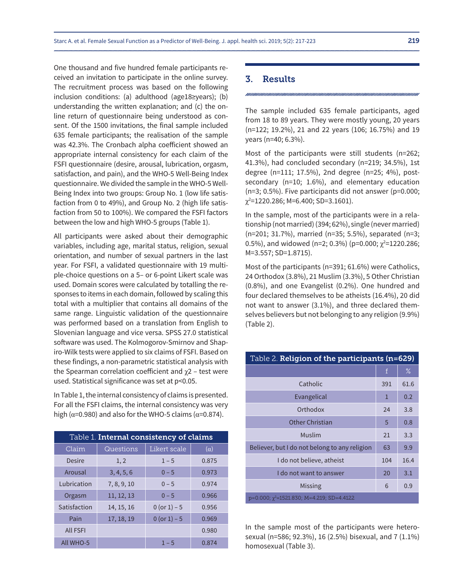One thousand and five hundred female participants received an invitation to participate in the online survey. The recruitment process was based on the following inclusion conditions: (a) adulthood (age18≥years); (b) understanding the written explanation; and (c) the online return of questionnaire being understood as consent. Of the 1500 invitations, the final sample included 635 female participants; the realisation of the sample was 42.3%. The Cronbach alpha coefficient showed an appropriate internal consistency for each claim of the FSFI questionnaire (desire, arousal, lubrication, orgasm, satisfaction, and pain), and the WHO-5 Well-Being Index questionnaire. We divided the sample in the WHO-5 Well-Being Index into two groups: Group No. 1 (low life satisfaction from 0 to 49%), and Group No. 2 (high life satisfaction from 50 to 100%). We compared the FSFI factors between the low and high WHO-5 groups (Table 1).

All participants were asked about their demographic variables, including age, marital status, religion, sexual orientation, and number of sexual partners in the last year. For FSFI, a validated questionnaire with 19 multiple-choice questions on a 5– or 6-point Likert scale was used. Domain scores were calculated by totalling the responses to items in each domain, followed by scaling this total with a multiplier that contains all domains of the same range. Linguistic validation of the questionnaire was performed based on a translation from English to Slovenian language and vice versa. SPSS 27.0 statistical software was used. The Kolmogorov-Smirnov and Shapiro-Wilk tests were applied to six claims of FSFI. Based on these findings, a non-parametric statistical analysis with the Spearman correlation coefficient and  $\gamma$ 2 – test were used. Statistical significance was set at p<0.05.

In Table 1, the internal consistency of claims is presented. For all the FSFI claims, the internal consistency was very high ( $\alpha$ =0.980) and also for the WHO-5 claims ( $\alpha$ =0.874).

| Table 1. Internal consistency of claims |             |                |            |  |  |
|-----------------------------------------|-------------|----------------|------------|--|--|
| Claim                                   | Questions   | Likert scale   | $(\alpha)$ |  |  |
| Desire                                  | 1, 2        | $1 - 5$        | 0.875      |  |  |
| Arousal                                 | 3, 4, 5, 6  | $0 - 5$        | 0.973      |  |  |
| <b>Lubrication</b>                      | 7, 8, 9, 10 | $0 - 5$        | 0.974      |  |  |
| Orgasm                                  | 11, 12, 13  | $0 - 5$        | 0.966      |  |  |
| Satisfaction                            | 14, 15, 16  | 0 (or $1 - 5$  | 0.956      |  |  |
| Pain                                    | 17, 18, 19  | $0 (or 1) - 5$ | 0.969      |  |  |
| <b>All FSFI</b>                         |             |                | 0.980      |  |  |
| All WHO-5                               |             | $1 - 5$        | 0.874      |  |  |

#### 3. Results

The sample included 635 female participants, aged from 18 to 89 years. They were mostly young, 20 years (n=122; 19.2%), 21 and 22 years (106; 16.75%) and 19 years (n=40; 6.3%).

Most of the participants were still students (n=262; 41.3%), had concluded secondary (n=219; 34.5%), 1st degree (n=111; 17.5%), 2nd degree (n=25; 4%), postsecondary (n=10; 1.6%), and elementary education (n=3; 0.5%). Five participants did not answer (p=0.000; χ2 =1220.286; M=6.400; SD=3.1601).

In the sample, most of the participants were in a relationship (not married) (394; 62%), single (never married) (n=201; 31.7%), married (n=35; 5.5%), separated (n=3; 0.5%), and widowed (n=2; 0.3%) (p=0.000;  $\chi^2$ =1220.286; M=3.557; SD=1.8715).

Most of the participants (n=391; 61.6%) were Catholics, 24 Orthodox (3.8%), 21 Muslim (3.3%), 5 Other Christian (0.8%), and one Evangelist (0.2%). One hundred and four declared themselves to be atheists (16.4%), 20 did not want to answer (3.1%), and three declared themselves believers but not belonging to any religion (9.9%) (Table 2).

| Table 2. <b>Religion of the participants (n=629)</b> |              |      |  |  |  |
|------------------------------------------------------|--------------|------|--|--|--|
|                                                      | $\mathbf{f}$ | $\%$ |  |  |  |
| Catholic                                             | 391          | 61.6 |  |  |  |
| Evangelical                                          | 1            | 0.2  |  |  |  |
| Orthodox                                             | 24           | 3.8  |  |  |  |
| Other Christian                                      | 5            | 0.8  |  |  |  |
| Muslim                                               | 21           | 3.3  |  |  |  |
| Believer, but I do not belong to any religion        | 63           | 9.9  |  |  |  |
| I do not believe, atheist                            | 104          | 16.4 |  |  |  |
| I do not want to answer                              | 20           | 3.1  |  |  |  |
| Missing                                              | 6            | 0.9  |  |  |  |
| $p=0.000$ ; $\gamma^2$ =1521.830; M=4.219; SD=4.4122 |              |      |  |  |  |

In the sample most of the participants were heterosexual (n=586; 92.3%), 16 (2.5%) bisexual, and 7 (1.1%) homosexual (Table 3).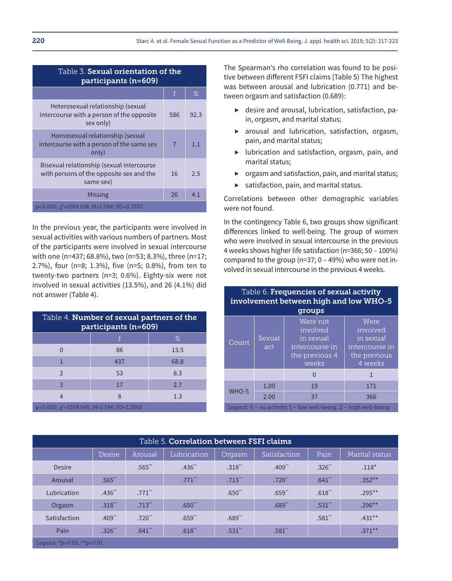| Table 3. <b>Sexual orientation of the</b><br>participants (n=609)                                  |              |      |  |  |
|----------------------------------------------------------------------------------------------------|--------------|------|--|--|
|                                                                                                    | $\mathbf{f}$ | $\%$ |  |  |
| Heterosexual relationship (sexual<br>intercourse with a person of the opposite<br>sex only)        | 586          | 92.3 |  |  |
| Homosexual relationship (sexual<br>intercourse with a person of the same sex<br>only)              | 7            | 1.1  |  |  |
| Bisexual relationship (sexual intercourse<br>with persons of the opposite sex and the<br>same sex) | 16           | 2.5  |  |  |
| Missing                                                                                            | 26           | 4.1  |  |  |
| $p=0.000$ ; $\chi^2$ =1084.108; M=1.064; SD=0.3357                                                 |              |      |  |  |

In the previous year, the participants were involved in sexual activities with various numbers of partners. Most of the participants were involved in sexual intercourse with one (n=437; 68.8%), two (n=53; 8.3%), three (n=17; 2.7%), four (n=8; 1.3%), five (n=5; 0.8%), from ten to twenty-two partners (n=3; 0.6%). Eighty-six were not involved in sexual activities (13.5%), and 26 (4.1%) did not answer (Table 4).

| Table 4. <b>Number of sexual partners of the</b><br>participants (n=609) |     |      |  |  |
|--------------------------------------------------------------------------|-----|------|--|--|
|                                                                          |     | $\%$ |  |  |
| O                                                                        | 86  | 13.5 |  |  |
| 1                                                                        | 437 | 68.8 |  |  |
| $\mathcal{P}$                                                            | 53  | 8.3  |  |  |
| 3                                                                        | 17  | 2.7  |  |  |
|                                                                          |     | 1.3  |  |  |
| $p=0.000$ ; $\gamma^2$ =2369.645; M=1.144; SD=1.3062                     |     |      |  |  |

The Spearman's rho correlation was found to be positive between different FSFI claims (Table 5) The highest was between arousal and lubrication (0.771) and between orgasm and satisfaction (0.689):

- $\blacktriangleright$  desire and arousal, lubrication, satisfaction, pain, orgasm, and marital status;
- $\triangleright$  arousal and lubrication, satisfaction, orgasm, pain, and marital status;
- $\blacktriangleright$  lubrication and satisfaction, orgasm, pain, and marital status;
- ▶ orgasm and satisfaction, pain, and marital status;
- $\triangleright$  satisfaction, pain, and marital status.

Correlations between other demographic variables were not found.

In the contingency Table 6, two groups show significant differences linked to well-being. The group of women who were involved in sexual intercourse in the previous 4 weeks shows higher life satisfaction (n=366; 50 – 100%) compared to the group ( $n=37$ ;  $0 - 49$ %) who were not involved in sexual intercourse in the previous 4 weeks.

Table 6. Frequencies of sexual activity

| involvement between high and low WHO-5<br>groups                       |               |                                                                                |                                                                            |  |
|------------------------------------------------------------------------|---------------|--------------------------------------------------------------------------------|----------------------------------------------------------------------------|--|
| Count                                                                  | Sexual<br>act | Were not<br>involved<br>in sexual<br>intercourse in<br>the previous 4<br>weeks | Were<br>involved<br>in sexual<br>intercourse in<br>the previous<br>4 weeks |  |
|                                                                        |               |                                                                                |                                                                            |  |
| WHO-5                                                                  | 1.00          | 19                                                                             | 171                                                                        |  |
|                                                                        | 2.00          | 37                                                                             | 366                                                                        |  |
| Legend: $0 -$ no activity; $1 -$ low well-being; $2 -$ high well-being |               |                                                                                |                                                                            |  |

| Table 5. <b>Correlation between FSFI claims</b> |                      |                      |                      |                      |                      |       |                |
|-------------------------------------------------|----------------------|----------------------|----------------------|----------------------|----------------------|-------|----------------|
|                                                 | Desire               | Arousal              | Lubrication          | Orgasm               | Satisfaction         | Pain  | Marital status |
| <b>Desire</b>                                   |                      | .565                 | $.436$ <sup>**</sup> | .318"                | $.409$ <sup>**</sup> | .326" | $.118*$        |
| Arousal                                         | $.565$ "             |                      | $.771$ **            | $.713$ <sup>**</sup> | $.720$ <sup>**</sup> | .641" | $.352***$      |
| Lubrication                                     | $.436$ <sup>**</sup> | $.771$ <sup>**</sup> |                      | $.650$ **            | $.659$ <sup>**</sup> | .618" | $.295***$      |
| Orgasm                                          | .318"                | $.713$ <sup>**</sup> | $.650$ <sup>**</sup> |                      | .689"                | .531" | $.296***$      |
| Satisfaction                                    | $.409$ <sup>**</sup> | $.720$ **            | $.659$ **            | .689"                |                      | .581" | $.431***$      |
| Pain                                            | $.326$ <sup>**</sup> | .641"                | .618"                | .531"                | .581"                |       | $.371***$      |
| Legend: *p<0.05, **p<0.01                       |                      |                      |                      |                      |                      |       |                |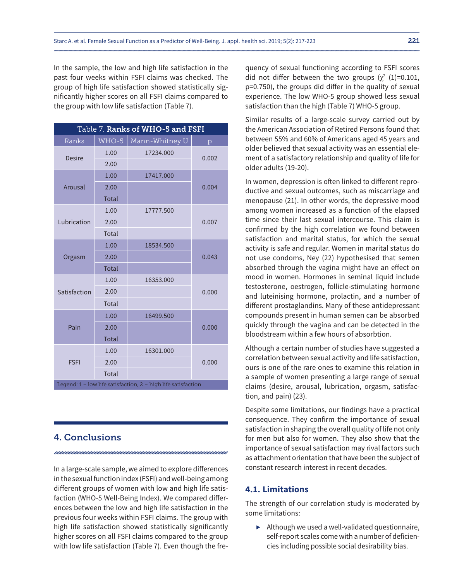In the sample, the low and high life satisfaction in the past four weeks within FSFI claims was checked. The group of high life satisfaction showed statistically significantly higher scores on all FSFI claims compared to the group with low life satisfaction (Table 7).

| Table 7. Ranks of WHO-5 and FSFI                              |              |                |       |  |
|---------------------------------------------------------------|--------------|----------------|-------|--|
| Ranks                                                         | WHO-5        | Mann-Whitney U | p     |  |
| <b>Desire</b>                                                 | 1.00         | 17234.000      | 0.002 |  |
|                                                               | 2.00         |                |       |  |
|                                                               | 1.00         | 17417.000      |       |  |
| Arousal                                                       | 2.00         |                | 0.004 |  |
|                                                               | <b>Total</b> |                |       |  |
|                                                               | 1.00         | 17777.500      |       |  |
| Lubrication                                                   | 2.00         |                | 0.007 |  |
|                                                               | <b>Total</b> |                |       |  |
|                                                               | 1.00         | 18534.500      | 0.043 |  |
| Orgasm                                                        | 2.00         |                |       |  |
|                                                               | <b>Total</b> |                |       |  |
|                                                               | 1.00         | 16353.000      |       |  |
| Satisfaction                                                  | 2.00         |                | 0.000 |  |
|                                                               | <b>Total</b> |                |       |  |
| Pain                                                          | 1.00         | 16499.500      |       |  |
|                                                               | 2.00         |                | 0.000 |  |
|                                                               | <b>Total</b> |                |       |  |
| <b>FSFI</b>                                                   | 1.00         | 16301.000      |       |  |
|                                                               | 2.00         |                | 0.000 |  |
|                                                               | Total        |                |       |  |
| Legend: 1 - low life satisfaction, 2 - high life satisfaction |              |                |       |  |

## 4. Conclusions

In a large-scale sample, we aimed to explore differences in the sexual function index (FSFI) and well-being among different groups of women with low and high life satisfaction (WHO-5 Well-Being Index). We compared differences between the low and high life satisfaction in the previous four weeks within FSFI claims. The group with high life satisfaction showed statistically significantly higher scores on all FSFI claims compared to the group with low life satisfaction (Table 7). Even though the frequency of sexual functioning according to FSFI scores did not differ between the two groups  $(\chi^2 \ (1)=0.101)$ , p=0.750), the groups did differ in the quality of sexual experience. The low WHO-5 group showed less sexual satisfaction than the high (Table 7) WHO-5 group.

Similar results of a large-scale survey carried out by the American Association of Retired Persons found that between 55% and 60% of Americans aged 45 years and older believed that sexual activity was an essential element of a satisfactory relationship and quality of life for older adults (19-20).

In women, depression is often linked to different reproductive and sexual outcomes, such as miscarriage and menopause (21). In other words, the depressive mood among women increased as a function of the elapsed time since their last sexual intercourse. This claim is confirmed by the high correlation we found between satisfaction and marital status, for which the sexual activity is safe and regular. Women in marital status do not use condoms, Ney (22) hypothesised that semen absorbed through the vagina might have an effect on mood in women. Hormones in seminal liquid include testosterone, oestrogen, follicle-stimulating hormone and luteinising hormone, prolactin, and a number of different prostaglandins. Many of these antidepressant compounds present in human semen can be absorbed quickly through the vagina and can be detected in the bloodstream within a few hours of absorbtion.

Although a certain number of studies have suggested a correlation between sexual activity and life satisfaction, ours is one of the rare ones to examine this relation in a sample of women presenting a large range of sexual claims (desire, arousal, lubrication, orgasm, satisfaction, and pain) (23).

Despite some limitations, our findings have a practical consequence. They confirm the importance of sexual satisfaction in shaping the overall quality of life not only for men but also for women. They also show that the importance of sexual satisfaction may rival factors such as attachment orientation that have been the subject of constant research interest in recent decades.

## **4.1. Limitations**

The strength of our correlation study is moderated by some limitations:

▶ Although we used a well-validated questionnaire, self-report scales come with a number of deficiencies including possible social desirability bias.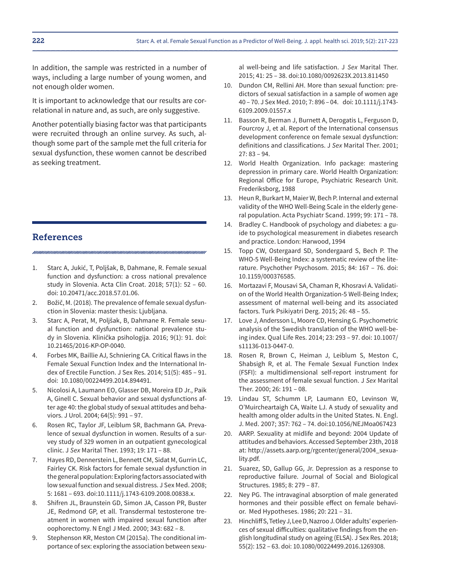In addition, the sample was restricted in a number of ways, including a large number of young women, and not enough older women.

It is important to acknowledge that our results are correlational in nature and, as such, are only suggestive.

Another potentially biasing factor was that participants were recruited through an online survey. As such, although some part of the sample met the full criteria for sexual dysfunction, these women cannot be described as seeking treatment.

## References

- 1. Starc A, Jukić, T, Poljšak, B, Dahmane, R. Female sexual function and dysfunction: a cross national prevalence study in Slovenia. Acta Clin Croat. 2018; 57(1): 52 – 60. doi: 10.20471/acc.2018.57.01.06.
- 2. Božič, M. (2018)*.* The prevalence of female sexual dysfunction in Slovenia: master thesis: Ljubljana.
- 3. Starc A, Perat, M, Poljšak, B, Dahmane R. Female sexual function and dysfunction: national prevalence study in Slovenia. Klinička psihologija. 2016; 9(1): 91. doi: 10.21465/2016-KP-OP-0040.
- 4. Forbes MK, Baillie AJ, Schniering CA. Critical flaws in the Female Sexual Function Index and the International Index of Erectile Function. J Sex Res. 2014; 51(5): 485 – 91. doi: 10.1080/00224499.2014.894491.
- 5. Nicolosi A, Laumann EO, Glasser DB, Moreira ED Jr., Paik A, Ginell C. Sexual behavior and sexual dysfunctions after age 40: the global study of sexual attitudes and behaviors. J Urol. 2004; 64(5): 991 – 97.
- 6. Rosen RC, Taylor JF, Leiblum SR, Bachmann GA. Prevalence of sexual dysfunction in women. Results of a survey study of 329 women in an outpatient gynecological clinic. J *Sex* Marital Ther. 1993; 19: 171 – 88.
- 7. Hayes RD, Dennerstein L, Bennett CM, Sidat M, Gurrin LC, Fairley CK. Risk factors for female sexual dysfunction in the general population: Exploring factors associated with low sexual function and sexual distress. J Sex Med. 2008; 5: 1681 – 693. doi:10.1111/j.1743-6109.2008.00838.x.
- 8. Shifren JL, Braunstein GD, Simon JA, Casson PR, Buster JE, Redmond GP, et all. Transdermal testosterone treatment in women with impaired sexual function after oophorectomy. N Engl J Med. 2000; 343: 682 – 8.
- 9. Stephenson KR, Meston CM (2015a). The conditional importance of sex: exploring the association between sexu-

al well-being and life satisfaction. J *Sex* Marital Ther. 2015; 41: 25 – 38. doi:10.1080/0092623X.2013.811450

- 10. Dundon CM, Rellini AH. More than sexual function: predictors of sexual satisfaction in a sample of women age 40 - 70. J Sex Med. 2010; 7: 896 - 04. doi: 10.1111/j.1743-6109.2009.01557.x
- 11. Basson R, Berman J, Burnett A, Derogatis L, Ferguson D, Fourcroy J, et al. Report of the International consensus development conference on female sexual dysfunction: definitions and classifications. J *Sex* Marital Ther. 2001;  $27: 83 - 94.$
- 12. World Health Organization. Info package: mastering depression in primary care. World Health Organization: Regional Office for Europe, Psychiatric Research Unit. Frederiksborg, 1988
- 13. Heun R, Burkart M, Maier W, Bech P. Internal and external validity of the WHO Well-Being Scale in the elderly general population. Acta Psychiatr Scand. 1999; 99: 171 – 78.
- 14. Bradley C. Handbook of psychology and diabetes: a guide to psychological measurement in diabetes research and practice. London: Harwood, 1994
- 15. Topp CW, Ostergaard SD, Sondergaard S, Bech P. The WHO-5 Well-Being Index: a systematic review of the literature. Psychother Psychosom. 2015; 84: 167 – 76. doi: 10.1159/000376585.
- 16. Mortazavi F, Mousavi SA, Chaman R, Khosravi A. Validation of the World Health Organization-5 Well-Being Index; assessment of maternal well-being and its associated factors. Turk Psikiyatri Derg. 2015; 26: 48 – 55.
- 17. Love J, Andersson L, Moore CD, Hensing G. Psychometric analysis of the Swedish translation of the WHO well-being index. Qual Life Res. 2014; 23: 293 – 97. doi: 10.1007/ s11136-013-0447-0.
- 18. Rosen R, Brown C, Heiman J, Leiblum S, Meston C, Shabsigh R, et al. The Female Sexual Function Index (FSFI): a multidimensional self-report instrument for the assessment of female sexual function. J *Sex* Marital Ther. 2000; 26: 191 – 08.
- 19. Lindau ST, Schumm LP, Laumann EO, Levinson W, O'Muircheartaigh CA, Waite LJ. A study of sexuality and health among older adults in the United States. N. Engl. J. Med. 2007; 357: 762 – 74. doi:10.1056/NEJMoa067423
- 20. AARP. Sexuality at midlife and beyond: 2004 Update of attitudes and behaviors. Accessed September 23th, 2018 at: http://assets.aarp.org/rgcenter/general/2004\_sexuality.pdf.
- 21. Suarez, SD, Gallup GG, Jr. Depression as a response to reproductive failure. Journal of Social and Biological Structures. 1985; 8: 279 – 87.
- 22. Ney PG. The intravaginal absorption of male generated hormones and their possible effect on female behavior. Med Hypotheses. 1986; 20: 221 – 31.
- 23. Hinchliff S, Tetley J, Lee D, Nazroo J. Older adults' experiences of sexual difficulties: qualitative findings from the english longitudinal study on ageing (ELSA). J Sex Res. 2018; 55(2): 152 – 63. doi: 10.1080/00224499.2016.1269308.